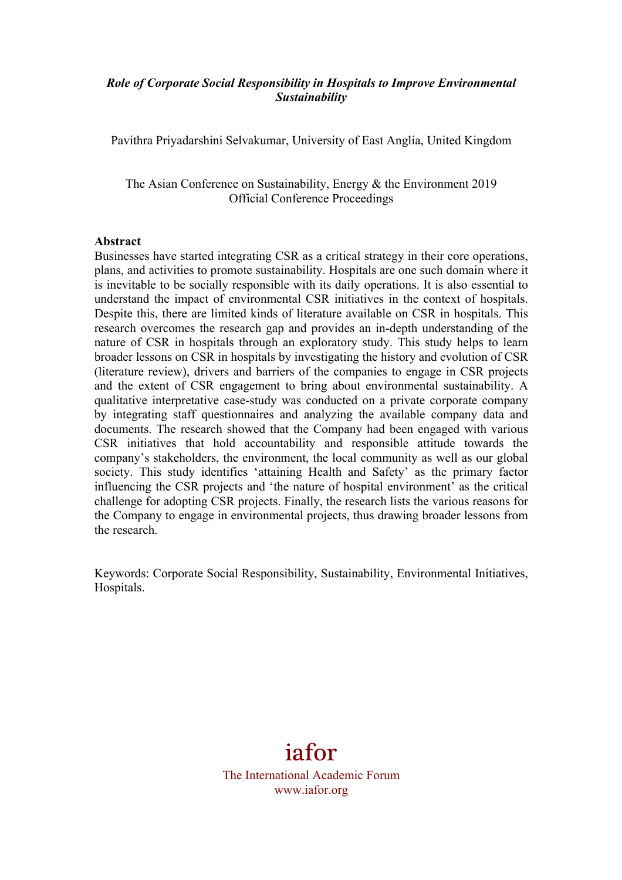## *Role of Corporate Social Responsibility in Hospitals to Improve Environmental Sustainability*

Pavithra Priyadarshini Selvakumar, University of East Anglia, United Kingdom

The Asian Conference on Sustainability, Energy & the Environment 2019 Official Conference Proceedings

#### **Abstract**

Businesses have started integrating CSR as a critical strategy in their core operations, plans, and activities to promote sustainability. Hospitals are one such domain where it is inevitable to be socially responsible with its daily operations. It is also essential to understand the impact of environmental CSR initiatives in the context of hospitals. Despite this, there are limited kinds of literature available on CSR in hospitals. This research overcomes the research gap and provides an in-depth understanding of the nature of CSR in hospitals through an exploratory study. This study helps to learn broader lessons on CSR in hospitals by investigating the history and evolution of CSR (literature review), drivers and barriers of the companies to engage in CSR projects and the extent of CSR engagement to bring about environmental sustainability. A qualitative interpretative case-study was conducted on a private corporate company by integrating staff questionnaires and analyzing the available company data and documents. The research showed that the Company had been engaged with various CSR initiatives that hold accountability and responsible attitude towards the company's stakeholders, the environment, the local community as well as our global society. This study identifies 'attaining Health and Safety' as the primary factor influencing the CSR projects and 'the nature of hospital environment' as the critical challenge for adopting CSR projects. Finally, the research lists the various reasons for the Company to engage in environmental projects, thus drawing broader lessons from the research.

Keywords: Corporate Social Responsibility, Sustainability, Environmental Initiatives, Hospitals.

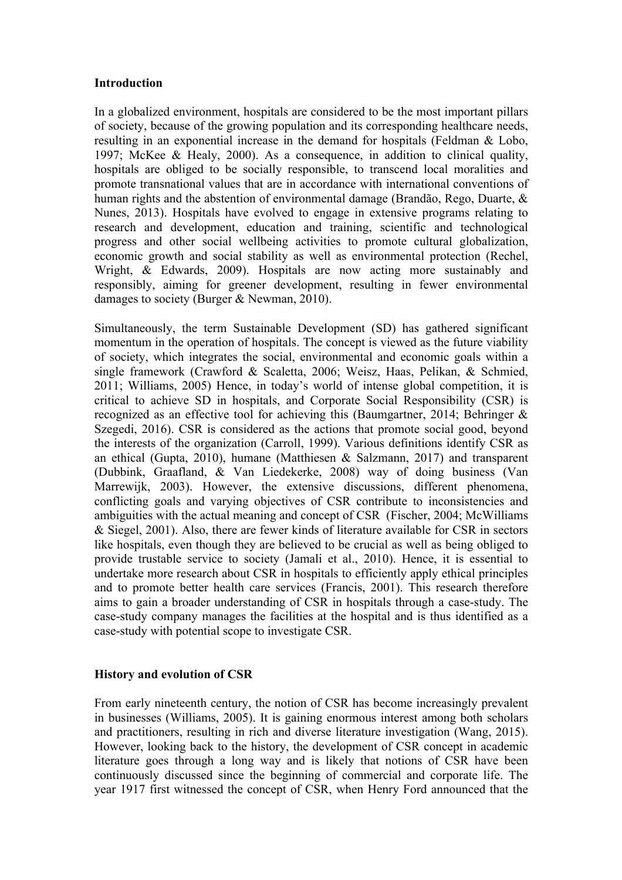#### **Introduction**

In a globalized environment, hospitals are considered to be the most important pillars of society, because of the growing population and its corresponding healthcare needs, resulting in an exponential increase in the demand for hospitals (Feldman & Lobo, 1997; McKee & Healy, 2000). As a consequence, in addition to clinical quality, hospitals are obliged to be socially responsible, to transcend local moralities and promote transnational values that are in accordance with international conventions of human rights and the abstention of environmental damage (Brandão, Rego, Duarte, & Nunes, 2013). Hospitals have evolved to engage in extensive programs relating to research and development, education and training, scientific and technological progress and other social wellbeing activities to promote cultural globalization, economic growth and social stability as well as environmental protection (Rechel, Wright, & Edwards, 2009). Hospitals are now acting more sustainably and responsibly, aiming for greener development, resulting in fewer environmental damages to society (Burger & Newman, 2010).

Simultaneously, the term Sustainable Development (SD) has gathered significant momentum in the operation of hospitals. The concept is viewed as the future viability of society, which integrates the social, environmental and economic goals within a single framework (Crawford & Scaletta, 2006; Weisz, Haas, Pelikan, & Schmied, 2011; Williams, 2005) Hence, in today's world of intense global competition, it is critical to achieve SD in hospitals, and Corporate Social Responsibility (CSR) is recognized as an effective tool for achieving this (Baumgartner, 2014; Behringer & Szegedi, 2016). CSR is considered as the actions that promote social good, beyond the interests of the organization (Carroll, 1999). Various definitions identify CSR as an ethical (Gupta, 2010), humane (Matthiesen & Salzmann, 2017) and transparent (Dubbink, Graafland, & Van Liedekerke, 2008) way of doing business (Van Marrewijk, 2003). However, the extensive discussions, different phenomena, conflicting goals and varying objectives of CSR contribute to inconsistencies and ambiguities with the actual meaning and concept of CSR (Fischer, 2004; McWilliams & Siegel, 2001). Also, there are fewer kinds of literature available for CSR in sectors like hospitals, even though they are believed to be crucial as well as being obliged to provide trustable service to society (Jamali et al., 2010). Hence, it is essential to undertake more research about CSR in hospitals to efficiently apply ethical principles and to promote better health care services (Francis, 2001). This research therefore aims to gain a broader understanding of CSR in hospitals through a case-study. The case-study company manages the facilities at the hospital and is thus identified as a case-study with potential scope to investigate CSR.

#### **History and evolution of CSR**

From early nineteenth century, the notion of CSR has become increasingly prevalent in businesses (Williams, 2005). It is gaining enormous interest among both scholars and practitioners, resulting in rich and diverse literature investigation (Wang, 2015). However, looking back to the history, the development of CSR concept in academic literature goes through a long way and is likely that notions of CSR have been continuously discussed since the beginning of commercial and corporate life. The year 1917 first witnessed the concept of CSR, when Henry Ford announced that the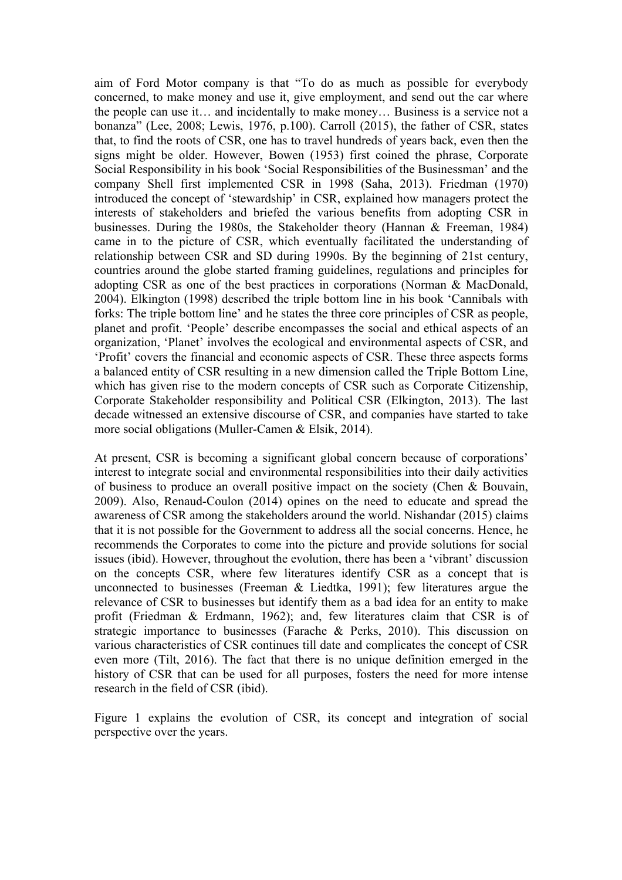aim of Ford Motor company is that "To do as much as possible for everybody concerned, to make money and use it, give employment, and send out the car where the people can use it… and incidentally to make money… Business is a service not a bonanza" (Lee, 2008; Lewis, 1976, p.100). Carroll (2015), the father of CSR, states that, to find the roots of CSR, one has to travel hundreds of years back, even then the signs might be older. However, Bowen (1953) first coined the phrase, Corporate Social Responsibility in his book 'Social Responsibilities of the Businessman' and the company Shell first implemented CSR in 1998 (Saha, 2013). Friedman (1970) introduced the concept of 'stewardship' in CSR, explained how managers protect the interests of stakeholders and briefed the various benefits from adopting CSR in businesses. During the 1980s, the Stakeholder theory (Hannan & Freeman, 1984) came in to the picture of CSR, which eventually facilitated the understanding of relationship between CSR and SD during 1990s. By the beginning of 21st century, countries around the globe started framing guidelines, regulations and principles for adopting CSR as one of the best practices in corporations (Norman & MacDonald, 2004). Elkington (1998) described the triple bottom line in his book 'Cannibals with forks: The triple bottom line' and he states the three core principles of CSR as people, planet and profit. 'People' describe encompasses the social and ethical aspects of an organization, 'Planet' involves the ecological and environmental aspects of CSR, and 'Profit' covers the financial and economic aspects of CSR. These three aspects forms a balanced entity of CSR resulting in a new dimension called the Triple Bottom Line, which has given rise to the modern concepts of CSR such as Corporate Citizenship, Corporate Stakeholder responsibility and Political CSR (Elkington, 2013). The last decade witnessed an extensive discourse of CSR, and companies have started to take more social obligations (Muller-Camen & Elsik, 2014).

At present, CSR is becoming a significant global concern because of corporations' interest to integrate social and environmental responsibilities into their daily activities of business to produce an overall positive impact on the society (Chen & Bouvain, 2009). Also, Renaud-Coulon (2014) opines on the need to educate and spread the awareness of CSR among the stakeholders around the world. Nishandar (2015) claims that it is not possible for the Government to address all the social concerns. Hence, he recommends the Corporates to come into the picture and provide solutions for social issues (ibid). However, throughout the evolution, there has been a 'vibrant' discussion on the concepts CSR, where few literatures identify CSR as a concept that is unconnected to businesses (Freeman & Liedtka, 1991); few literatures argue the relevance of CSR to businesses but identify them as a bad idea for an entity to make profit (Friedman & Erdmann, 1962); and, few literatures claim that CSR is of strategic importance to businesses (Farache & Perks, 2010). This discussion on various characteristics of CSR continues till date and complicates the concept of CSR even more (Tilt, 2016). The fact that there is no unique definition emerged in the history of CSR that can be used for all purposes, fosters the need for more intense research in the field of CSR (ibid).

Figure 1 explains the evolution of CSR, its concept and integration of social perspective over the years.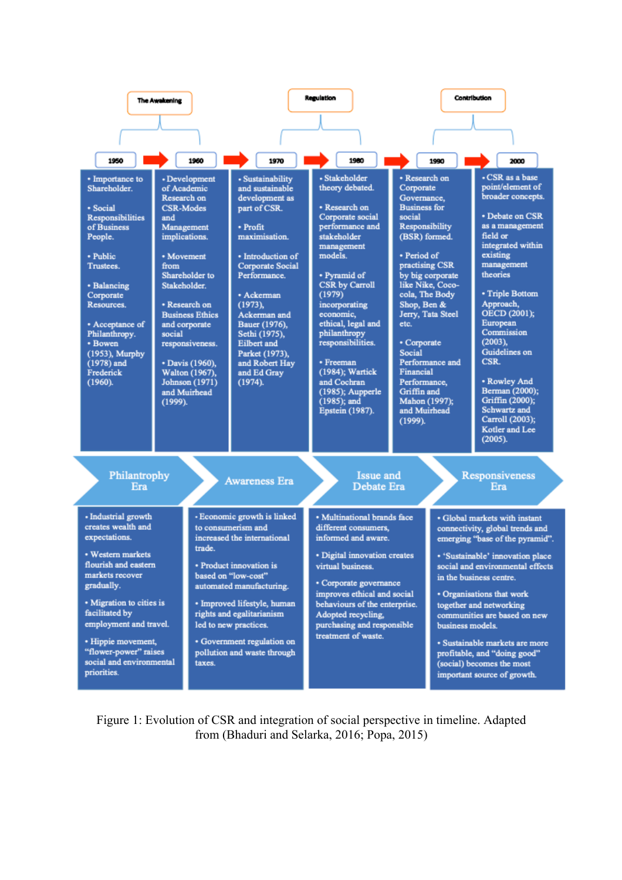

Figure 1: Evolution of CSR and integration of social perspective in timeline. Adapted from (Bhaduri and Selarka, 2016; Popa, 2015)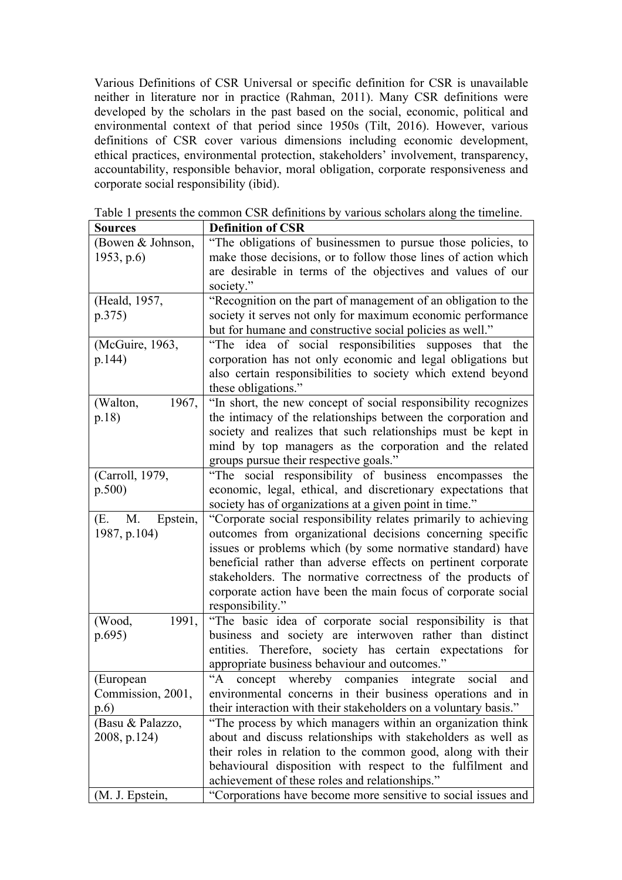Various Definitions of CSR Universal or specific definition for CSR is unavailable neither in literature nor in practice (Rahman, 2011). Many CSR definitions were developed by the scholars in the past based on the social, economic, political and environmental context of that period since 1950s (Tilt, 2016). However, various definitions of CSR cover various dimensions including economic development, ethical practices, environmental protection, stakeholders' involvement, transparency, accountability, responsible behavior, moral obligation, corporate responsiveness and corporate social responsibility (ibid).

| <b>Sources</b>        | <b>Definition of CSR</b>                                                   |
|-----------------------|----------------------------------------------------------------------------|
| (Bowen & Johnson,     | "The obligations of businessmen to pursue those policies, to               |
| 1953, p.6             | make those decisions, or to follow those lines of action which             |
|                       | are desirable in terms of the objectives and values of our                 |
|                       | society."                                                                  |
| (Heald, 1957,         | "Recognition on the part of management of an obligation to the             |
| p.375)                | society it serves not only for maximum economic performance                |
|                       | but for humane and constructive social policies as well."                  |
| (McGuire, 1963,       | "The idea of social responsibilities supposes that<br>the                  |
| p.144)                | corporation has not only economic and legal obligations but                |
|                       | also certain responsibilities to society which extend beyond               |
|                       | these obligations."                                                        |
| 1967,<br>(Walton,     | "In short, the new concept of social responsibility recognizes             |
| p.18)                 | the intimacy of the relationships between the corporation and              |
|                       | society and realizes that such relationships must be kept in               |
|                       | mind by top managers as the corporation and the related                    |
|                       | groups pursue their respective goals."                                     |
| (Carroll, 1979,       | "The social responsibility of business encompasses<br>the                  |
| p.500)                | economic, legal, ethical, and discretionary expectations that              |
|                       | society has of organizations at a given point in time."                    |
| Epstein,<br>(E.<br>M. | "Corporate social responsibility relates primarily to achieving            |
| 1987, p.104)          | outcomes from organizational decisions concerning specific                 |
|                       | issues or problems which (by some normative standard) have                 |
|                       | beneficial rather than adverse effects on pertinent corporate              |
|                       | stakeholders. The normative correctness of the products of                 |
|                       | corporate action have been the main focus of corporate social              |
|                       | responsibility."                                                           |
| (Wood,<br>1991,       | "The basic idea of corporate social responsibility is that                 |
| p.695)                | business and society are interwoven rather than distinct                   |
|                       | Therefore, society has certain expectations for<br>entities.               |
|                       | appropriate business behaviour and outcomes."                              |
| (European             | $A^{\prime\prime}$<br>concept whereby companies integrate<br>social<br>and |
| Commission, 2001,     | environmental concerns in their business operations and in                 |
| p.6)                  | their interaction with their stakeholders on a voluntary basis."           |
| (Basu & Palazzo,      | "The process by which managers within an organization think                |
| 2008, p.124)          | about and discuss relationships with stakeholders as well as               |
|                       | their roles in relation to the common good, along with their               |
|                       | behavioural disposition with respect to the fulfilment and                 |
|                       | achievement of these roles and relationships."                             |
| (M. J. Epstein,       | "Corporations have become more sensitive to social issues and              |

Table 1 presents the common CSR definitions by various scholars along the timeline.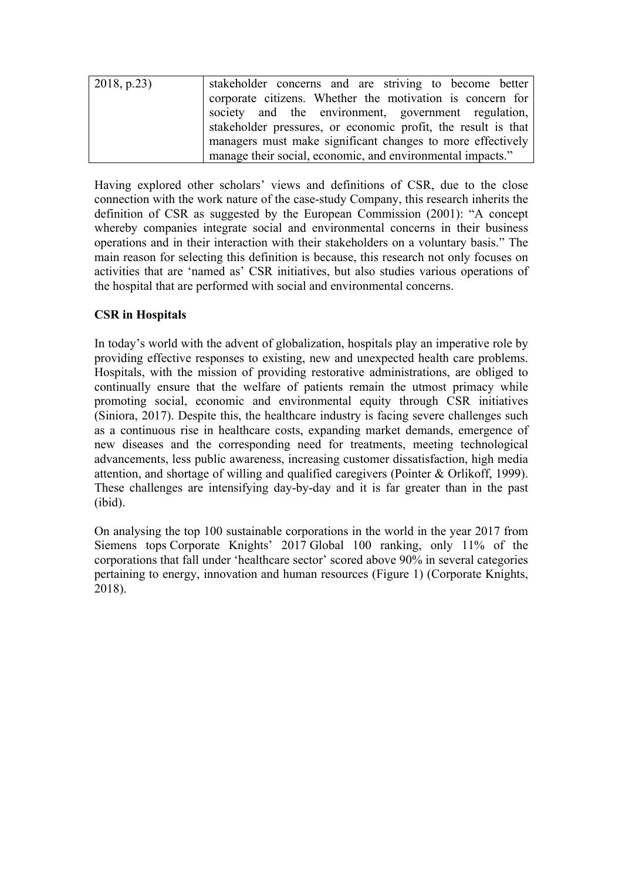| $\vert 2018, p.23 \rangle$ | stakeholder concerns and are striving to become better        |  |  |
|----------------------------|---------------------------------------------------------------|--|--|
|                            | corporate citizens. Whether the motivation is concern for     |  |  |
|                            | society and the environment, government regulation,           |  |  |
|                            | stakeholder pressures, or economic profit, the result is that |  |  |
|                            | managers must make significant changes to more effectively    |  |  |
|                            | manage their social, economic, and environmental impacts."    |  |  |

Having explored other scholars' views and definitions of CSR, due to the close connection with the work nature of the case-study Company, this research inherits the definition of CSR as suggested by the European Commission (2001): "A concept whereby companies integrate social and environmental concerns in their business operations and in their interaction with their stakeholders on a voluntary basis." The main reason for selecting this definition is because, this research not only focuses on activities that are 'named as' CSR initiatives, but also studies various operations of the hospital that are performed with social and environmental concerns.

# **CSR in Hospitals**

In today's world with the advent of globalization, hospitals play an imperative role by providing effective responses to existing, new and unexpected health care problems. Hospitals, with the mission of providing restorative administrations, are obliged to continually ensure that the welfare of patients remain the utmost primacy while promoting social, economic and environmental equity through CSR initiatives (Siniora, 2017). Despite this, the healthcare industry is facing severe challenges such as a continuous rise in healthcare costs, expanding market demands, emergence of new diseases and the corresponding need for treatments, meeting technological advancements, less public awareness, increasing customer dissatisfaction, high media attention, and shortage of willing and qualified caregivers (Pointer & Orlikoff, 1999). These challenges are intensifying day-by-day and it is far greater than in the past (ibid).

On analysing the top 100 sustainable corporations in the world in the year 2017 from Siemens tops Corporate Knights' 2017 Global 100 ranking, only 11% of the corporations that fall under 'healthcare sector' scored above 90% in several categories pertaining to energy, innovation and human resources (Figure 1) (Corporate Knights, 2018).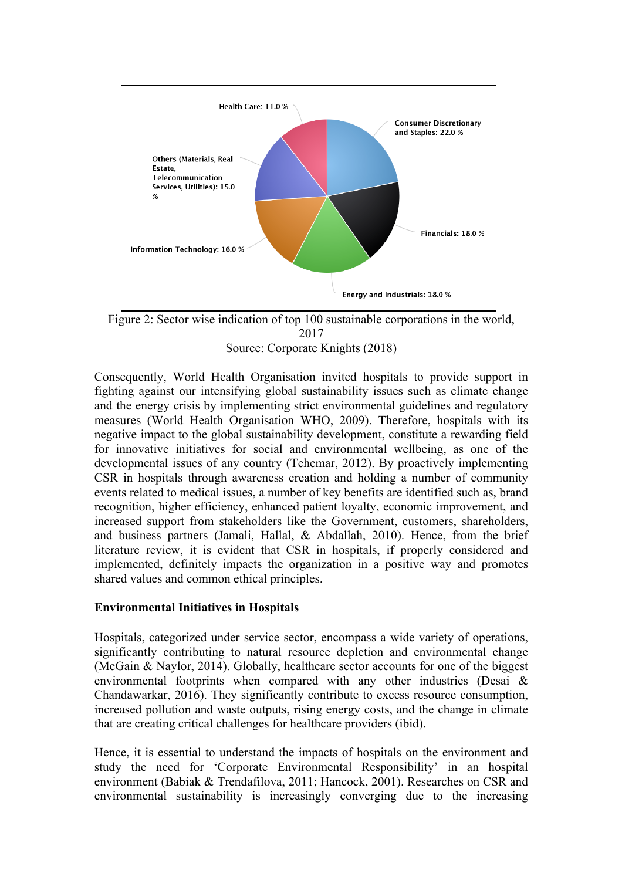

Figure 2: Sector wise indication of top 100 sustainable corporations in the world, 2017 Source: Corporate Knights (2018)

Consequently, World Health Organisation invited hospitals to provide support in fighting against our intensifying global sustainability issues such as climate change and the energy crisis by implementing strict environmental guidelines and regulatory measures (World Health Organisation WHO, 2009). Therefore, hospitals with its negative impact to the global sustainability development, constitute a rewarding field for innovative initiatives for social and environmental wellbeing, as one of the developmental issues of any country (Tehemar, 2012). By proactively implementing CSR in hospitals through awareness creation and holding a number of community events related to medical issues, a number of key benefits are identified such as, brand recognition, higher efficiency, enhanced patient loyalty, economic improvement, and increased support from stakeholders like the Government, customers, shareholders, and business partners (Jamali, Hallal, & Abdallah, 2010). Hence, from the brief literature review, it is evident that CSR in hospitals, if properly considered and implemented, definitely impacts the organization in a positive way and promotes shared values and common ethical principles.

#### **Environmental Initiatives in Hospitals**

Hospitals, categorized under service sector, encompass a wide variety of operations, significantly contributing to natural resource depletion and environmental change (McGain & Naylor, 2014). Globally, healthcare sector accounts for one of the biggest environmental footprints when compared with any other industries (Desai & Chandawarkar, 2016). They significantly contribute to excess resource consumption, increased pollution and waste outputs, rising energy costs, and the change in climate that are creating critical challenges for healthcare providers (ibid).

Hence, it is essential to understand the impacts of hospitals on the environment and study the need for 'Corporate Environmental Responsibility' in an hospital environment (Babiak & Trendafilova, 2011; Hancock, 2001). Researches on CSR and environmental sustainability is increasingly converging due to the increasing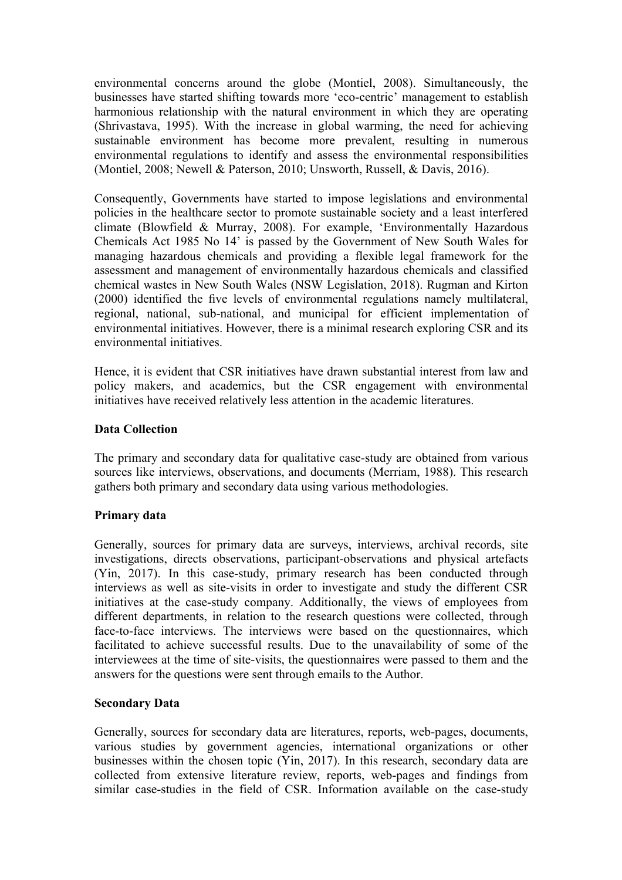environmental concerns around the globe (Montiel, 2008). Simultaneously, the businesses have started shifting towards more 'eco-centric' management to establish harmonious relationship with the natural environment in which they are operating (Shrivastava, 1995). With the increase in global warming, the need for achieving sustainable environment has become more prevalent, resulting in numerous environmental regulations to identify and assess the environmental responsibilities (Montiel, 2008; Newell & Paterson, 2010; Unsworth, Russell, & Davis, 2016).

Consequently, Governments have started to impose legislations and environmental policies in the healthcare sector to promote sustainable society and a least interfered climate (Blowfield & Murray, 2008). For example, 'Environmentally Hazardous Chemicals Act 1985 No 14' is passed by the Government of New South Wales for managing hazardous chemicals and providing a flexible legal framework for the assessment and management of environmentally hazardous chemicals and classified chemical wastes in New South Wales (NSW Legislation, 2018). Rugman and Kirton (2000) identified the five levels of environmental regulations namely multilateral, regional, national, sub-national, and municipal for efficient implementation of environmental initiatives. However, there is a minimal research exploring CSR and its environmental initiatives.

Hence, it is evident that CSR initiatives have drawn substantial interest from law and policy makers, and academics, but the CSR engagement with environmental initiatives have received relatively less attention in the academic literatures.

#### **Data Collection**

The primary and secondary data for qualitative case-study are obtained from various sources like interviews, observations, and documents (Merriam, 1988). This research gathers both primary and secondary data using various methodologies.

## **Primary data**

Generally, sources for primary data are surveys, interviews, archival records, site investigations, directs observations, participant-observations and physical artefacts (Yin, 2017). In this case-study, primary research has been conducted through interviews as well as site-visits in order to investigate and study the different CSR initiatives at the case-study company. Additionally, the views of employees from different departments, in relation to the research questions were collected, through face-to-face interviews. The interviews were based on the questionnaires, which facilitated to achieve successful results. Due to the unavailability of some of the interviewees at the time of site-visits, the questionnaires were passed to them and the answers for the questions were sent through emails to the Author.

#### **Secondary Data**

Generally, sources for secondary data are literatures, reports, web-pages, documents, various studies by government agencies, international organizations or other businesses within the chosen topic (Yin, 2017). In this research, secondary data are collected from extensive literature review, reports, web-pages and findings from similar case-studies in the field of CSR. Information available on the case-study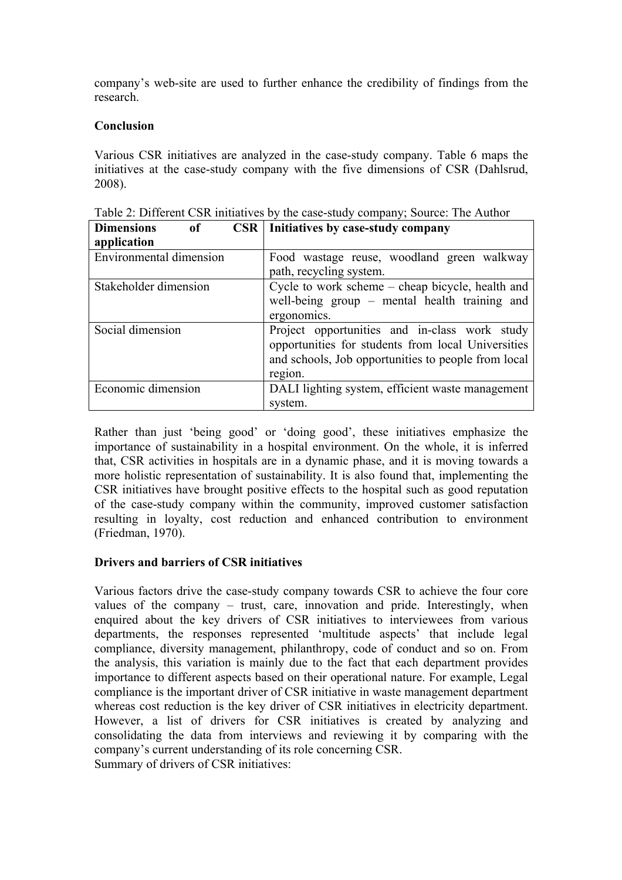company's web-site are used to further enhance the credibility of findings from the research.

### **Conclusion**

Various CSR initiatives are analyzed in the case-study company. Table 6 maps the initiatives at the case-study company with the five dimensions of CSR (Dahlsrud, 2008).

| <b>Dimensions</b><br>CSR<br><sub>of</sub> | Initiatives by case-study company                   |
|-------------------------------------------|-----------------------------------------------------|
| application                               |                                                     |
| Environmental dimension                   | Food wastage reuse, woodland green walkway          |
|                                           | path, recycling system.                             |
| Stakeholder dimension                     | Cycle to work scheme – cheap bicycle, health and    |
|                                           | well-being group – mental health training and       |
|                                           | ergonomics.                                         |
| Social dimension                          | Project opportunities and in-class work study       |
|                                           | opportunities for students from local Universities  |
|                                           | and schools, Job opportunities to people from local |
|                                           | region.                                             |
| Economic dimension                        | DALI lighting system, efficient waste management    |
|                                           | system.                                             |

Table 2: Different CSR initiatives by the case-study company; Source: The Author

Rather than just 'being good' or 'doing good', these initiatives emphasize the importance of sustainability in a hospital environment. On the whole, it is inferred that, CSR activities in hospitals are in a dynamic phase, and it is moving towards a more holistic representation of sustainability. It is also found that, implementing the CSR initiatives have brought positive effects to the hospital such as good reputation of the case-study company within the community, improved customer satisfaction resulting in loyalty, cost reduction and enhanced contribution to environment (Friedman, 1970).

## **Drivers and barriers of CSR initiatives**

Various factors drive the case-study company towards CSR to achieve the four core values of the company – trust, care, innovation and pride. Interestingly, when enquired about the key drivers of CSR initiatives to interviewees from various departments, the responses represented 'multitude aspects' that include legal compliance, diversity management, philanthropy, code of conduct and so on. From the analysis, this variation is mainly due to the fact that each department provides importance to different aspects based on their operational nature. For example, Legal compliance is the important driver of CSR initiative in waste management department whereas cost reduction is the key driver of CSR initiatives in electricity department. However, a list of drivers for CSR initiatives is created by analyzing and consolidating the data from interviews and reviewing it by comparing with the company's current understanding of its role concerning CSR. Summary of drivers of CSR initiatives: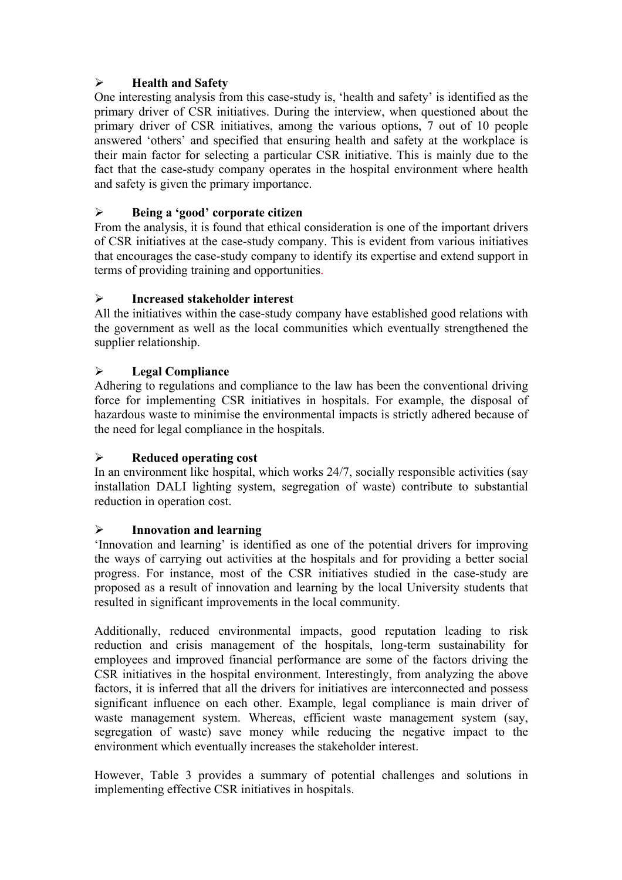# Ø **Health and Safety**

One interesting analysis from this case-study is, 'health and safety' is identified as the primary driver of CSR initiatives. During the interview, when questioned about the primary driver of CSR initiatives, among the various options, 7 out of 10 people answered 'others' and specified that ensuring health and safety at the workplace is their main factor for selecting a particular CSR initiative. This is mainly due to the fact that the case-study company operates in the hospital environment where health and safety is given the primary importance.

# Ø **Being a 'good' corporate citizen**

From the analysis, it is found that ethical consideration is one of the important drivers of CSR initiatives at the case-study company. This is evident from various initiatives that encourages the case-study company to identify its expertise and extend support in terms of providing training and opportunities.

## Ø **Increased stakeholder interest**

All the initiatives within the case-study company have established good relations with the government as well as the local communities which eventually strengthened the supplier relationship.

# Ø **Legal Compliance**

Adhering to regulations and compliance to the law has been the conventional driving force for implementing CSR initiatives in hospitals. For example, the disposal of hazardous waste to minimise the environmental impacts is strictly adhered because of the need for legal compliance in the hospitals.

## Ø **Reduced operating cost**

In an environment like hospital, which works 24/7, socially responsible activities (say installation DALI lighting system, segregation of waste) contribute to substantial reduction in operation cost.

## Ø **Innovation and learning**

'Innovation and learning' is identified as one of the potential drivers for improving the ways of carrying out activities at the hospitals and for providing a better social progress. For instance, most of the CSR initiatives studied in the case-study are proposed as a result of innovation and learning by the local University students that resulted in significant improvements in the local community.

Additionally, reduced environmental impacts, good reputation leading to risk reduction and crisis management of the hospitals, long-term sustainability for employees and improved financial performance are some of the factors driving the CSR initiatives in the hospital environment. Interestingly, from analyzing the above factors, it is inferred that all the drivers for initiatives are interconnected and possess significant influence on each other. Example, legal compliance is main driver of waste management system. Whereas, efficient waste management system (say, segregation of waste) save money while reducing the negative impact to the environment which eventually increases the stakeholder interest.

However, Table 3 provides a summary of potential challenges and solutions in implementing effective CSR initiatives in hospitals.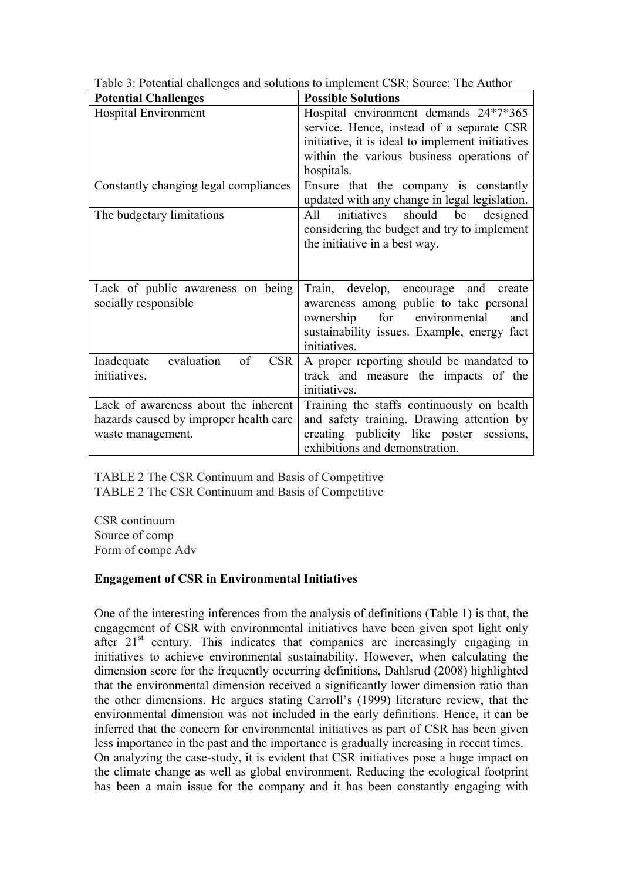| <b>Potential Challenges</b>            | <b>Possible Solutions</b>                                                        |
|----------------------------------------|----------------------------------------------------------------------------------|
| <b>Hospital Environment</b>            | Hospital environment demands 24*7*365                                            |
|                                        | service. Hence, instead of a separate CSR                                        |
|                                        | initiative, it is ideal to implement initiatives                                 |
|                                        | within the various business operations of                                        |
|                                        | hospitals.                                                                       |
| Constantly changing legal compliances  | Ensure that the company is constantly                                            |
|                                        | updated with any change in legal legislation.                                    |
| The budgetary limitations              | initiatives<br>should<br>be<br>designed<br>All                                   |
|                                        | considering the budget and try to implement                                      |
|                                        | the initiative in a best way.                                                    |
|                                        |                                                                                  |
|                                        |                                                                                  |
| Lack of public awareness on being      | Train, develop, encourage and<br>create                                          |
| socially responsible                   | awareness among public to take personal                                          |
|                                        | for<br>ownership<br>environmental<br>and                                         |
|                                        | sustainability issues. Example, energy fact<br>initiatives.                      |
| evaluation<br>of<br><b>CSR</b>         |                                                                                  |
| Inadequate<br>initiatives.             | A proper reporting should be mandated to<br>track and measure the impacts of the |
|                                        | initiatives.                                                                     |
| Lack of awareness about the inherent   | Training the staffs continuously on health                                       |
|                                        |                                                                                  |
| hazards caused by improper health care | and safety training. Drawing attention by                                        |
| waste management.                      | creating publicity like poster sessions,<br>exhibitions and demonstration.       |
|                                        |                                                                                  |

Table 3: Potential challenges and solutions to implement CSR; Source: The Author

TABLE 2 The CSR Continuum and Basis of Competitive TABLE 2 The CSR Continuum and Basis of Competitive

CSR continuum Source of comp Form of compe Adv

# **Engagement of CSR in Environmental Initiatives**

One of the interesting inferences from the analysis of definitions (Table 1) is that, the engagement of CSR with environmental initiatives have been given spot light only after  $21<sup>st</sup>$  century. This indicates that companies are increasingly engaging in initiatives to achieve environmental sustainability. However, when calculating the dimension score for the frequently occurring definitions, Dahlsrud (2008) highlighted that the environmental dimension received a significantly lower dimension ratio than the other dimensions. He argues stating Carroll's (1999) literature review, that the environmental dimension was not included in the early definitions. Hence, it can be inferred that the concern for environmental initiatives as part of CSR has been given less importance in the past and the importance is gradually increasing in recent times. On analyzing the case-study, it is evident that CSR initiatives pose a huge impact on the climate change as well as global environment. Reducing the ecological footprint has been a main issue for the company and it has been constantly engaging with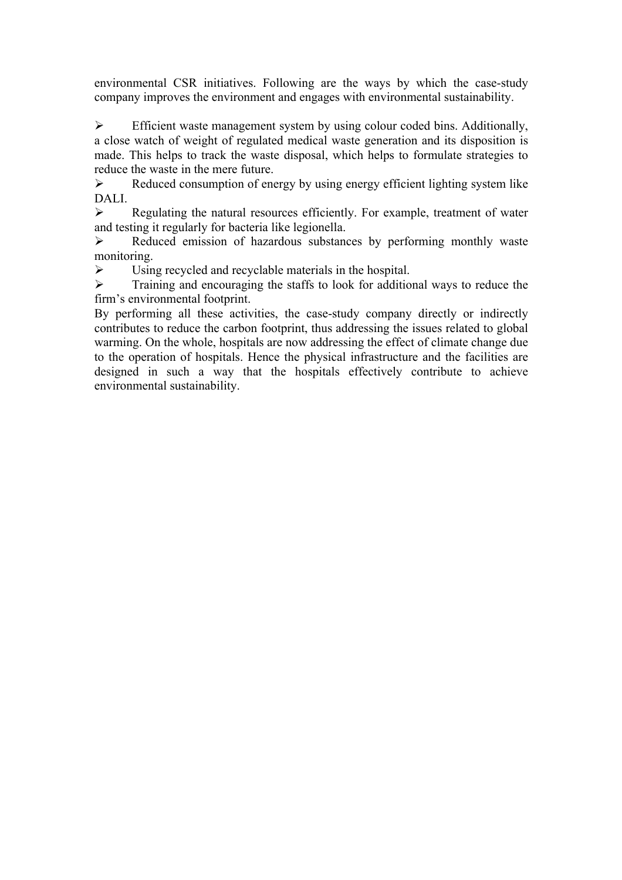environmental CSR initiatives. Following are the ways by which the case-study company improves the environment and engages with environmental sustainability.

 $\triangleright$  Efficient waste management system by using colour coded bins. Additionally, a close watch of weight of regulated medical waste generation and its disposition is made. This helps to track the waste disposal, which helps to formulate strategies to reduce the waste in the mere future.

 $\triangleright$  Reduced consumption of energy by using energy efficient lighting system like DALI.

 $\triangleright$  Regulating the natural resources efficiently. For example, treatment of water and testing it regularly for bacteria like legionella.

 $\triangleright$  Reduced emission of hazardous substances by performing monthly waste monitoring.

 $\triangleright$  Using recycled and recyclable materials in the hospital.

 $\triangleright$  Training and encouraging the staffs to look for additional ways to reduce the firm's environmental footprint.

By performing all these activities, the case-study company directly or indirectly contributes to reduce the carbon footprint, thus addressing the issues related to global warming. On the whole, hospitals are now addressing the effect of climate change due to the operation of hospitals. Hence the physical infrastructure and the facilities are designed in such a way that the hospitals effectively contribute to achieve environmental sustainability.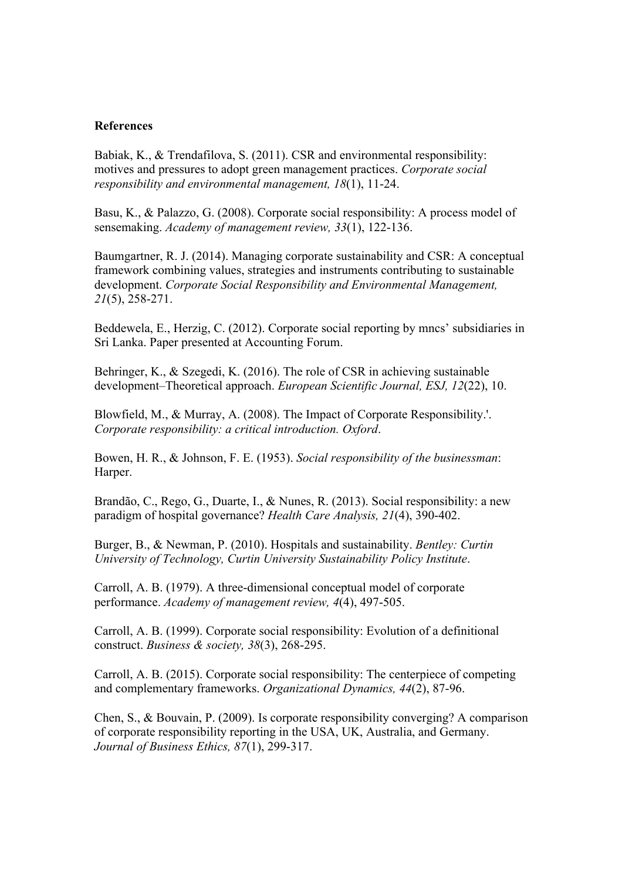#### **References**

Babiak, K., & Trendafilova, S. (2011). CSR and environmental responsibility: motives and pressures to adopt green management practices. *Corporate social responsibility and environmental management, 18*(1), 11-24.

Basu, K., & Palazzo, G. (2008). Corporate social responsibility: A process model of sensemaking. *Academy of management review, 33*(1), 122-136.

Baumgartner, R. J. (2014). Managing corporate sustainability and CSR: A conceptual framework combining values, strategies and instruments contributing to sustainable development. *Corporate Social Responsibility and Environmental Management, 21*(5), 258-271.

Beddewela, E., Herzig, C. (2012). Corporate social reporting by mncs' subsidiaries in Sri Lanka. Paper presented at Accounting Forum.

Behringer, K., & Szegedi, K. (2016). The role of CSR in achieving sustainable development–Theoretical approach. *European Scientific Journal, ESJ, 12*(22), 10.

Blowfield, M., & Murray, A. (2008). The Impact of Corporate Responsibility.'. *Corporate responsibility: a critical introduction. Oxford*.

Bowen, H. R., & Johnson, F. E. (1953). *Social responsibility of the businessman*: Harper.

Brandão, C., Rego, G., Duarte, I., & Nunes, R. (2013). Social responsibility: a new paradigm of hospital governance? *Health Care Analysis, 21*(4), 390-402.

Burger, B., & Newman, P. (2010). Hospitals and sustainability. *Bentley: Curtin University of Technology, Curtin University Sustainability Policy Institute*.

Carroll, A. B. (1979). A three-dimensional conceptual model of corporate performance. *Academy of management review, 4*(4), 497-505.

Carroll, A. B. (1999). Corporate social responsibility: Evolution of a definitional construct. *Business & society, 38*(3), 268-295.

Carroll, A. B. (2015). Corporate social responsibility: The centerpiece of competing and complementary frameworks. *Organizational Dynamics, 44*(2), 87-96.

Chen, S., & Bouvain, P. (2009). Is corporate responsibility converging? A comparison of corporate responsibility reporting in the USA, UK, Australia, and Germany. *Journal of Business Ethics, 87*(1), 299-317.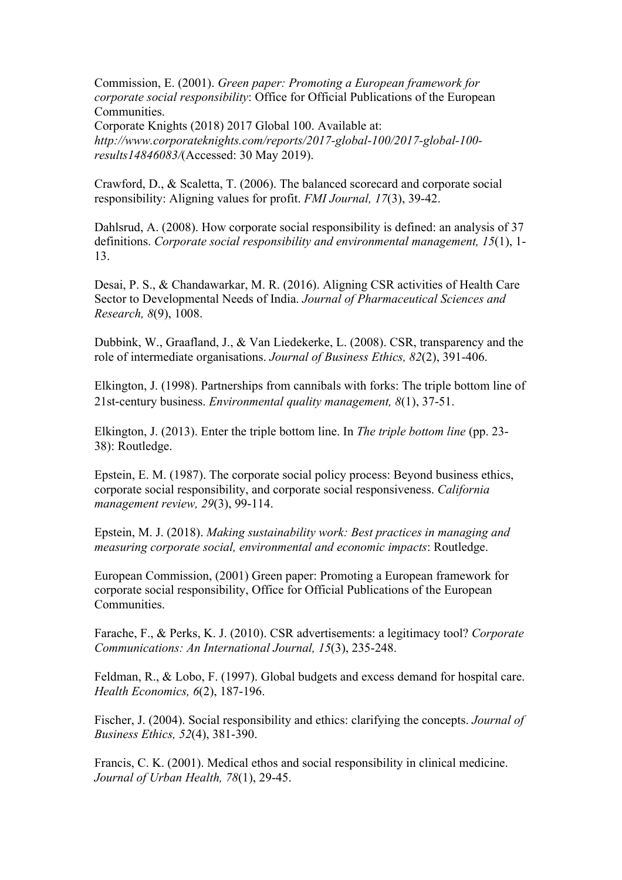Commission, E. (2001). *Green paper: Promoting a European framework for corporate social responsibility*: Office for Official Publications of the European Communities.

Corporate Knights (2018) 2017 Global 100. Available at: *http://www.corporateknights.com/reports/2017-global-100/2017-global-100 results14846083/*(Accessed: 30 May 2019).

Crawford, D., & Scaletta, T. (2006). The balanced scorecard and corporate social responsibility: Aligning values for profit. *FMI Journal, 17*(3), 39-42.

Dahlsrud, A. (2008). How corporate social responsibility is defined: an analysis of 37 definitions. *Corporate social responsibility and environmental management, 15*(1), 1- 13.

Desai, P. S., & Chandawarkar, M. R. (2016). Aligning CSR activities of Health Care Sector to Developmental Needs of India. *Journal of Pharmaceutical Sciences and Research, 8*(9), 1008.

Dubbink, W., Graafland, J., & Van Liedekerke, L. (2008). CSR, transparency and the role of intermediate organisations. *Journal of Business Ethics, 82*(2), 391-406.

Elkington, J. (1998). Partnerships from cannibals with forks: The triple bottom line of 21st-century business. *Environmental quality management, 8*(1), 37-51.

Elkington, J. (2013). Enter the triple bottom line. In *The triple bottom line* (pp. 23- 38): Routledge.

Epstein, E. M. (1987). The corporate social policy process: Beyond business ethics, corporate social responsibility, and corporate social responsiveness. *California management review, 29*(3), 99-114.

Epstein, M. J. (2018). *Making sustainability work: Best practices in managing and measuring corporate social, environmental and economic impacts*: Routledge.

European Commission, (2001) Green paper: Promoting a European framework for corporate social responsibility, Office for Official Publications of the European **Communities** 

Farache, F., & Perks, K. J. (2010). CSR advertisements: a legitimacy tool? *Corporate Communications: An International Journal, 15*(3), 235-248.

Feldman, R., & Lobo, F. (1997). Global budgets and excess demand for hospital care. *Health Economics, 6*(2), 187-196.

Fischer, J. (2004). Social responsibility and ethics: clarifying the concepts. *Journal of Business Ethics, 52*(4), 381-390.

Francis, C. K. (2001). Medical ethos and social responsibility in clinical medicine. *Journal of Urban Health, 78*(1), 29-45.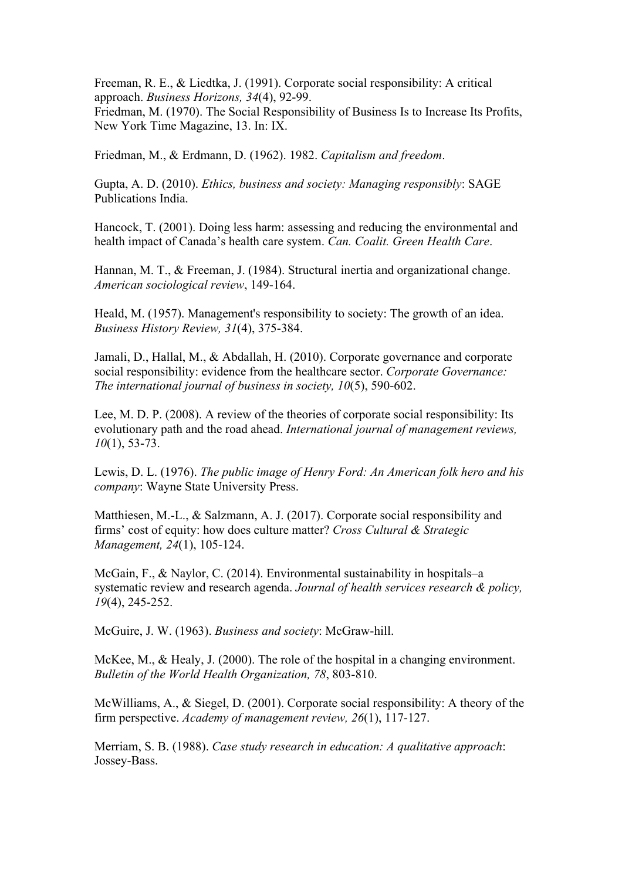Freeman, R. E., & Liedtka, J. (1991). Corporate social responsibility: A critical approach. *Business Horizons, 34*(4), 92-99.

Friedman, M. (1970). The Social Responsibility of Business Is to Increase Its Profits, New York Time Magazine, 13. In: IX.

Friedman, M., & Erdmann, D. (1962). 1982. *Capitalism and freedom*.

Gupta, A. D. (2010). *Ethics, business and society: Managing responsibly*: SAGE Publications India.

Hancock, T. (2001). Doing less harm: assessing and reducing the environmental and health impact of Canada's health care system. *Can. Coalit. Green Health Care*.

Hannan, M. T., & Freeman, J. (1984). Structural inertia and organizational change. *American sociological review*, 149-164.

Heald, M. (1957). Management's responsibility to society: The growth of an idea. *Business History Review, 31*(4), 375-384.

Jamali, D., Hallal, M., & Abdallah, H. (2010). Corporate governance and corporate social responsibility: evidence from the healthcare sector. *Corporate Governance: The international journal of business in society, 10*(5), 590-602.

Lee, M. D. P. (2008). A review of the theories of corporate social responsibility: Its evolutionary path and the road ahead. *International journal of management reviews, 10*(1), 53-73.

Lewis, D. L. (1976). *The public image of Henry Ford: An American folk hero and his company*: Wayne State University Press.

Matthiesen, M.-L., & Salzmann, A. J. (2017). Corporate social responsibility and firms' cost of equity: how does culture matter? *Cross Cultural & Strategic Management, 24*(1), 105-124.

McGain, F., & Naylor, C. (2014). Environmental sustainability in hospitals–a systematic review and research agenda. *Journal of health services research & policy, 19*(4), 245-252.

McGuire, J. W. (1963). *Business and society*: McGraw-hill.

McKee, M., & Healy, J. (2000). The role of the hospital in a changing environment. *Bulletin of the World Health Organization, 78*, 803-810.

McWilliams, A., & Siegel, D. (2001). Corporate social responsibility: A theory of the firm perspective. *Academy of management review, 26*(1), 117-127.

Merriam, S. B. (1988). *Case study research in education: A qualitative approach*: Jossey-Bass.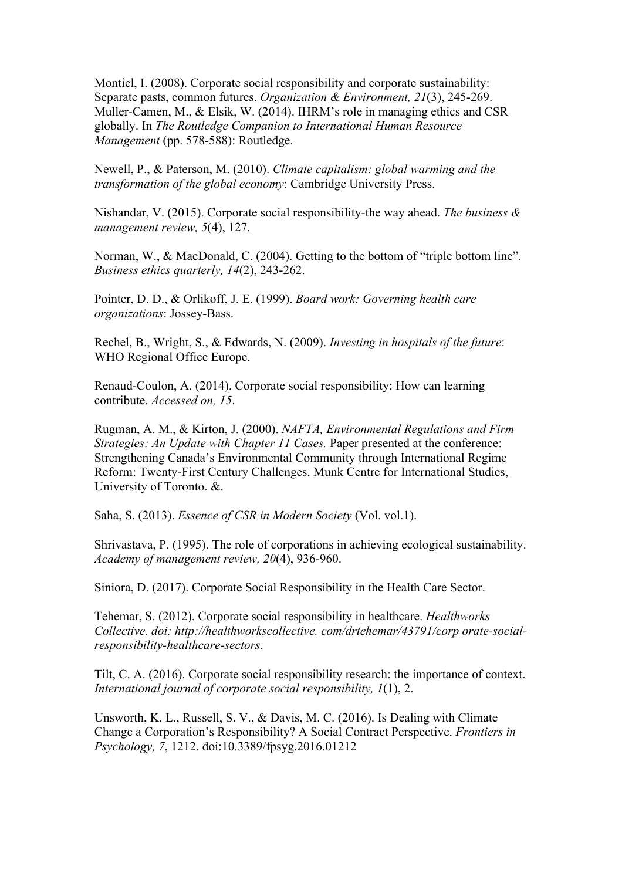Montiel, I. (2008). Corporate social responsibility and corporate sustainability: Separate pasts, common futures. *Organization & Environment, 21*(3), 245-269. Muller-Camen, M., & Elsik, W. (2014). IHRM's role in managing ethics and CSR globally. In *The Routledge Companion to International Human Resource Management* (pp. 578-588): Routledge.

Newell, P., & Paterson, M. (2010). *Climate capitalism: global warming and the transformation of the global economy*: Cambridge University Press.

Nishandar, V. (2015). Corporate social responsibility-the way ahead. *The business & management review, 5*(4), 127.

Norman, W., & MacDonald, C. (2004). Getting to the bottom of "triple bottom line". *Business ethics quarterly, 14*(2), 243-262.

Pointer, D. D., & Orlikoff, J. E. (1999). *Board work: Governing health care organizations*: Jossey-Bass.

Rechel, B., Wright, S., & Edwards, N. (2009). *Investing in hospitals of the future*: WHO Regional Office Europe.

Renaud-Coulon, A. (2014). Corporate social responsibility: How can learning contribute. *Accessed on, 15*.

Rugman, A. M., & Kirton, J. (2000). *NAFTA, Environmental Regulations and Firm Strategies: An Update with Chapter 11 Cases.* Paper presented at the conference: Strengthening Canada's Environmental Community through International Regime Reform: Twenty-First Century Challenges. Munk Centre for International Studies, University of Toronto. &.

Saha, S. (2013). *Essence of CSR in Modern Society* (Vol. vol.1).

Shrivastava, P. (1995). The role of corporations in achieving ecological sustainability. *Academy of management review, 20*(4), 936-960.

Siniora, D. (2017). Corporate Social Responsibility in the Health Care Sector.

Tehemar, S. (2012). Corporate social responsibility in healthcare. *Healthworks Collective. doi: http://healthworkscollective. com/drtehemar/43791/corp orate-socialresponsibility-healthcare-sectors*.

Tilt, C. A. (2016). Corporate social responsibility research: the importance of context. *International journal of corporate social responsibility, 1*(1), 2.

Unsworth, K. L., Russell, S. V., & Davis, M. C. (2016). Is Dealing with Climate Change a Corporation's Responsibility? A Social Contract Perspective. *Frontiers in Psychology, 7*, 1212. doi:10.3389/fpsyg.2016.01212